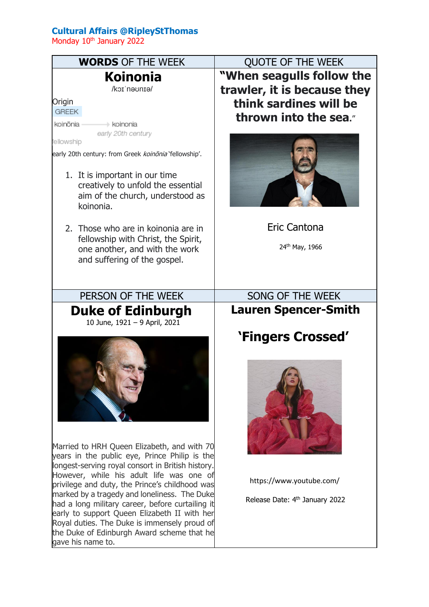## **Cultural Affairs @RipleyStThomas**

Monday 10<sup>th</sup> January 2022